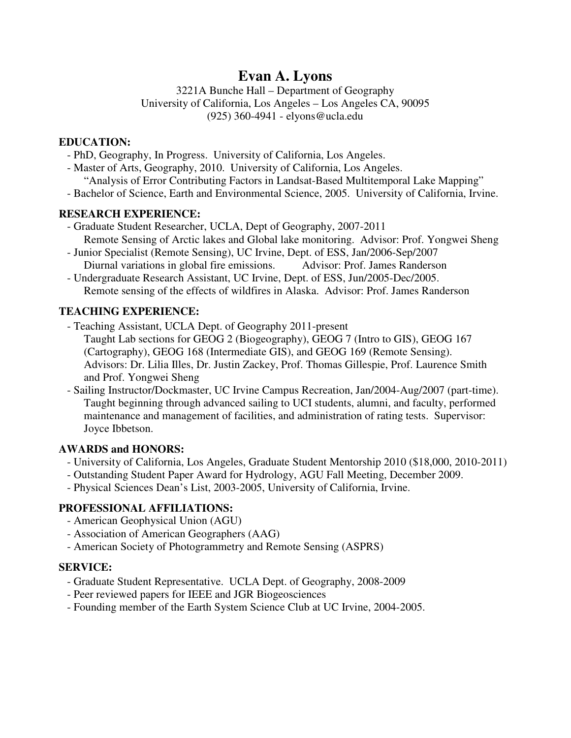# **Evan A. Lyons**

3221A Bunche Hall – Department of Geography University of California, Los Angeles – Los Angeles CA, 90095 (925) 360-4941 - elyons@ucla.edu

#### **EDUCATION:**

- PhD, Geography, In Progress. University of California, Los Angeles.
- Master of Arts, Geography, 2010. University of California, Los Angeles.
- "Analysis of Error Contributing Factors in Landsat-Based Multitemporal Lake Mapping"
- Bachelor of Science, Earth and Environmental Science, 2005. University of California, Irvine.

#### **RESEARCH EXPERIENCE:**

- Graduate Student Researcher, UCLA, Dept of Geography, 2007-2011 Remote Sensing of Arctic lakes and Global lake monitoring. Advisor: Prof. Yongwei Sheng
- Junior Specialist (Remote Sensing), UC Irvine, Dept. of ESS, Jan/2006-Sep/2007 Diurnal variations in global fire emissions. Advisor: Prof. James Randerson
- Undergraduate Research Assistant, UC Irvine, Dept. of ESS, Jun/2005-Dec/2005. Remote sensing of the effects of wildfires in Alaska. Advisor: Prof. James Randerson

# **TEACHING EXPERIENCE:**

- Teaching Assistant, UCLA Dept. of Geography 2011-present
- Taught Lab sections for GEOG 2 (Biogeography), GEOG 7 (Intro to GIS), GEOG 167 (Cartography), GEOG 168 (Intermediate GIS), and GEOG 169 (Remote Sensing). Advisors: Dr. Lilia Illes, Dr. Justin Zackey, Prof. Thomas Gillespie, Prof. Laurence Smith and Prof. Yongwei Sheng
- Sailing Instructor/Dockmaster, UC Irvine Campus Recreation, Jan/2004-Aug/2007 (part-time). Taught beginning through advanced sailing to UCI students, alumni, and faculty, performed maintenance and management of facilities, and administration of rating tests. Supervisor: Joyce Ibbetson.

# **AWARDS and HONORS:**

- University of California, Los Angeles, Graduate Student Mentorship 2010 (\$18,000, 2010-2011)
- Outstanding Student Paper Award for Hydrology, AGU Fall Meeting, December 2009.
- Physical Sciences Dean's List, 2003-2005, University of California, Irvine.

# **PROFESSIONAL AFFILIATIONS:**

- American Geophysical Union (AGU)
- Association of American Geographers (AAG)
- American Society of Photogrammetry and Remote Sensing (ASPRS)

# **SERVICE:**

- Graduate Student Representative. UCLA Dept. of Geography, 2008-2009
- Peer reviewed papers for IEEE and JGR Biogeosciences
- Founding member of the Earth System Science Club at UC Irvine, 2004-2005.